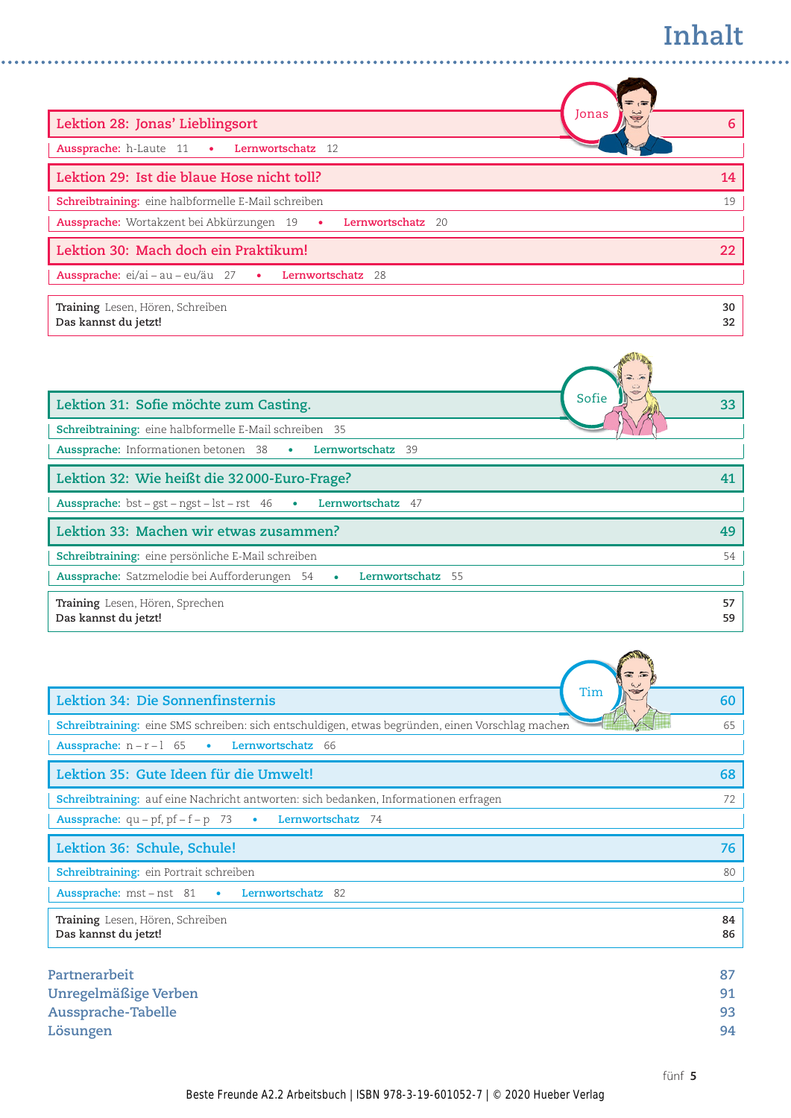## **Inhalt**

| $\equiv$<br>$\overline{a}$                                    |    |
|---------------------------------------------------------------|----|
| Jonas<br>Lektion 28: Jonas' Lieblingsort                      | 6  |
| Aussprache: h-Laute 11 . Lernwortschatz 12                    |    |
| Lektion 29: Ist die blaue Hose nicht toll?                    | 14 |
| Schreibtraining: eine halbformelle E-Mail schreiben           | 19 |
| Aussprache: Wortakzent bei Abkürzungen 19 · Lernwortschatz 20 |    |
| Lektion 30: Mach doch ein Praktikum!                          | 22 |
| Aussprache: ei/ai - au - eu/äu 27 · Lernwortschatz<br>- 28    |    |
| Training Lesen, Hören, Schreiben                              | 30 |
| Das kannst du jetzt!                                          | 32 |

 $\sim$   $\sim$   $\sim$  $\sim$   $\sim$   $\sim$  . . . . . . . . . .

| Sofie<br>Lektion 31: Sofie möchte zum Casting.                              | 33       |
|-----------------------------------------------------------------------------|----------|
| Schreibtraining: eine halbformelle E-Mail schreiben 35                      |          |
| <b>Aussprache:</b> Informationen betonen 38 • Lernwortschatz 39             |          |
| Lektion 32: Wie heißt die 32000-Euro-Frage?                                 | 41       |
| Aussprache: bst - gst - ngst - lst - rst 46 • Lernwortschatz 47             |          |
| Lektion 33: Machen wir etwas zusammen?                                      | 49       |
| Schreibtraining: eine persönliche E-Mail schreiben                          | 54       |
| <b>Aussprache:</b> Satzmelodie bei Aufforderungen 54 •<br>Lernwortschatz 55 |          |
| Training Lesen, Hören, Sprechen<br>Das kannst du jetzt!                     | 57<br>59 |

| Tim<br>Lektion 34: Die Sonnenfinsternis                                                          | 60 |
|--------------------------------------------------------------------------------------------------|----|
| Schreibtraining: eine SMS schreiben: sich entschuldigen, etwas begründen, einen Vorschlag machen | 65 |
| <b>Aussprache:</b> $n - r - 1$ 65<br>Lernwortschatz 66<br>$\bullet$                              |    |
| Lektion 35: Gute Ideen für die Umwelt!                                                           | 68 |
| Schreibtraining: auf eine Nachricht antworten: sich bedanken, Informationen erfragen             | 72 |
| <b>Aussprache:</b> $qu - pf$ , $pf - f - p$ 73<br>Lernwortschatz 74<br>$\bullet$                 |    |
| Lektion 36: Schule, Schule!                                                                      | 76 |
| <b>Schreibtraining:</b> ein Portrait schreiben                                                   | 80 |
| <b>Aussprache:</b> mst – nst 81 •<br><b>Lernwortschatz</b> 82                                    |    |
| Training Lesen, Hören, Schreiben                                                                 | 84 |
| Das kannst du jetzt!                                                                             | 86 |
|                                                                                                  |    |
| Partnerarbeit                                                                                    | 87 |
| Unregelmäßige Verben                                                                             | 91 |
| <b>Aussprache-Tabelle</b>                                                                        | 93 |
| Lösungen                                                                                         | 94 |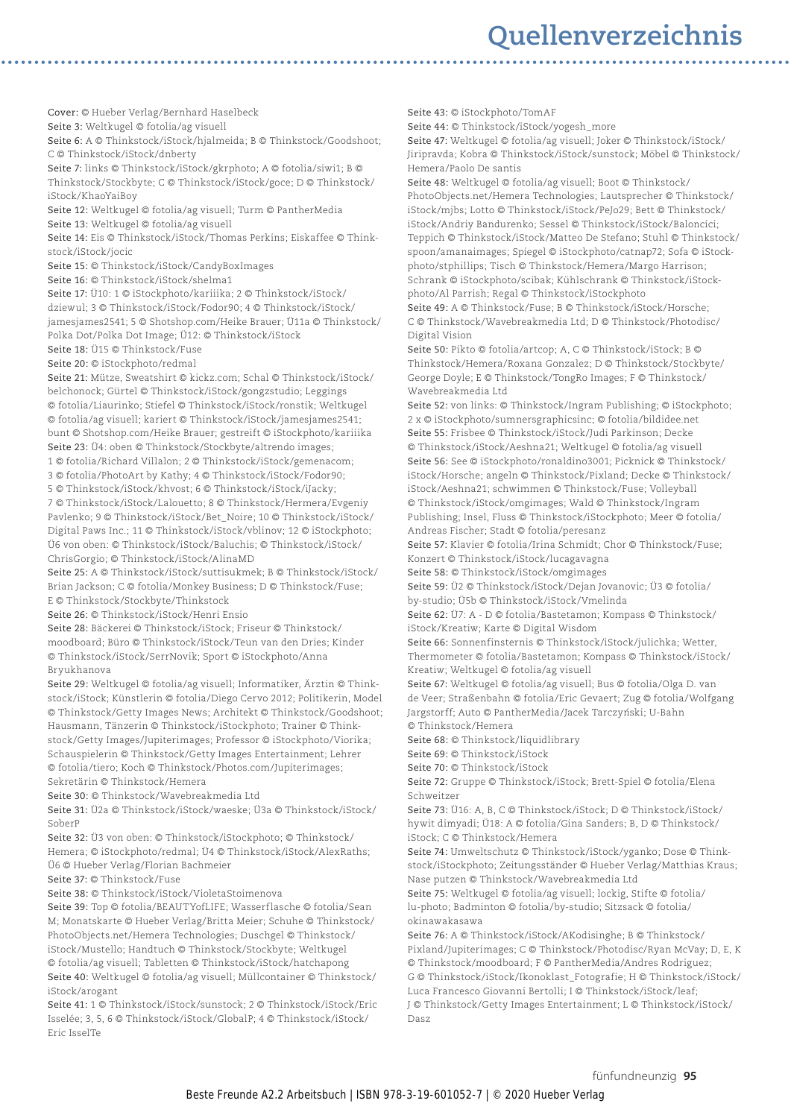## **Quellenverzeichnis**

Cover: © Hueber Verlag/Bernhard Haselbeck

Seite 3: Weltkugel © fotolia/ag visuell

Seite 6: A © Thinkstock/iStock/hjalmeida; B © Thinkstock/Goodshoot; C © Thinkstock/iStock/dnberty

Seite 7: links © Thinkstock/iStock/gkrphoto; A © fotolia/siwi1; B © Thinkstock/Stockbyte; C © Thinkstock/iStock/goce; D © Thinkstock/ iStock/KhaoYaiBoy

Seite 12: Weltkugel © fotolia/ag visuell; Turm © PantherMedia

Seite 13: Weltkugel © fotolia/ag visuell

Seite 14: Eis © Thinkstock/iStock/Thomas Perkins; Eiskaffee © Thinkstock/iStock/jocic

Seite 15: © Thinkstock/iStock/CandyBoxImages

Seite 16: © Thinkstock/iStock/shelma1

Seite 17: Ü10: 1 © iStockphoto/kariiika; 2 © Thinkstock/iStock/ dziewul; 3 © Thinkstock/iStock/Fodor90; 4 © Thinkstock/iStock/ jamesjames2541; 5 © Shotshop.com/Heike Brauer; Ü11a © Thinkstock/ Polka Dot/Polka Dot Image; Ü12: © Thinkstock/iStock

Seite 18: Ü15 © Thinkstock/Fuse

Seite 20: © iStockphoto/redmal

Seite 21: Mütze, Sweatshirt © kickz.com; Schal © Thinkstock/iStock/ belchonock; Gürtel © Thinkstock/iStock/gongzstudio; Leggings © fotolia/Liaurinko; Stiefel © Thinkstock/iStock/ronstik; Weltkugel © fotolia/ag visuell; kariert © Thinkstock/iStock/jamesjames2541; bunt © Shotshop.com/Heike Brauer; gestreift © iStockphoto/kariiika Seite 23: Ü4: oben © Thinkstock/Stockbyte/altrendo images;

1 © fotolia/Richard Villalon; 2 © Thinkstock/iStock/gemenacom;

3 © fotolia/PhotoArt by Kathy; 4 © Thinkstock/iStock/Fodor90;

5 © Thinkstock/iStock/khvost; 6 © Thinkstock/iStock/iJacky; 7 © Thinkstock/iStock/Lalouetto; 8 © Thinkstock/Hermera/Evgeniy Pavlenko; 9 © Thinkstock/iStock/Bet\_Noire; 10 © Thinkstock/iStock/ Digital Paws Inc.; 11 © Thinkstock/iStock/vblinov; 12 © iStockphoto; Ü6 von oben: © Thinkstock/iStock/Baluchis; © Thinkstock/iStock/ ChrisGorgio; © Thinkstock/iStock/AlinaMD

Seite 25: A © Thinkstock/iStock/suttisukmek; B © Thinkstock/iStock/ Brian Jackson; C © fotolia/Monkey Business; D © Thinkstock/Fuse; E © Thinkstock/Stockbyte/Thinkstock

Seite 26: © Thinkstock/iStock/Henri Ensio

Seite 28: Bäckerei © Thinkstock/iStock; Friseur © Thinkstock/ moodboard; Büro © Thinkstock/iStock/Teun van den Dries; Kinder © Thinkstock/iStock/SerrNovik; Sport © iStockphoto/Anna Bryukhanova

Seite 29: Weltkugel © fotolia/ag visuell; Informatiker, Ärztin © Thinkstock/iStock; Künstlerin © fotolia/Diego Cervo 2012; Politikerin, Model © Thinkstock/Getty Images News; Architekt © Thinkstock/Goodshoot; Hausmann, Tänzerin © Thinkstock/iStockphoto; Trainer © Thinkstock/Getty Images/Jupiterimages; Professor © iStockphoto/Viorika; Schauspielerin © Thinkstock/Getty Images Entertainment; Lehrer © fotolia/tiero; Koch © Thinkstock/Photos.com/Jupiterimages; Sekretärin © Thinkstock/Hemera

Seite 30: © Thinkstock/Wavebreakmedia Ltd

Seite 31: Ü2a © Thinkstock/iStock/waeske; Ü3a © Thinkstock/iStock/ SoberP

Seite 32: Ü3 von oben: © Thinkstock/iStockphoto; © Thinkstock/ Hemera; © iStockphoto/redmal; Ü4 © Thinkstock/iStock/AlexRaths; Ü6 © Hueber Verlag/Florian Bachmeier

Seite 37: © Thinkstock/Fuse

Seite 38: © Thinkstock/iStock/VioletaStoimenova

Seite 39: Top © fotolia/BEAUTYofLIFE; Wasserflasche © fotolia/Sean M; Monatskarte © Hueber Verlag/Britta Meier; Schuhe © Thinkstock/ PhotoObjects.net/Hemera Technologies; Duschgel © Thinkstock/ iStock/Mustello; Handtuch © Thinkstock/Stockbyte; Weltkugel © fotolia/ag visuell; Tabletten © Thinkstock/iStock/hatchapong Seite 40: Weltkugel © fotolia/ag visuell; Müllcontainer © Thinkstock/ iStock/arogant

Seite 41: 1 © Thinkstock/iStock/sunstock; 2 © Thinkstock/iStock/Eric Isselée; 3, 5, 6 © Thinkstock/iStock/GlobalP; 4 © Thinkstock/iStock/ Eric IsselTe

Seite 43: © iStockphoto/TomAF

Seite 44: © Thinkstock/iStock/yogesh\_more

Seite 47: Weltkugel © fotolia/ag visuell; Joker © Thinkstock/iStock/ Jiripravda; Kobra © Thinkstock/iStock/sunstock; Möbel © Thinkstock/ Hemera/Paolo De santis

Seite 48: Weltkugel © fotolia/ag visuell; Boot © Thinkstock/ PhotoObjects.net/Hemera Technologies; Lautsprecher © Thinkstock/ iStock/mjbs; Lotto © Thinkstock/iStock/PeJo29; Bett © Thinkstock/ iStock/Andriy Bandurenko; Sessel © Thinkstock/iStock/Baloncici; Teppich © Thinkstock/iStock/Matteo De Stefano; Stuhl © Thinkstock/ spoon/amanaimages; Spiegel © iStockphoto/catnap72; Sofa © iStockphoto/stphillips; Tisch © Thinkstock/Hemera/Margo Harrison; Schrank © iStockphoto/scibak; Kühlschrank © Thinkstock/iStockphoto/Al Parrish; Regal © Thinkstock/iStockphoto

Seite 49: A © Thinkstock/Fuse; B © Thinkstock/iStock/Horsche; C © Thinkstock/Wavebreakmedia Ltd; D © Thinkstock/Photodisc/ Digital Vision

Seite 50: Pikto © fotolia/artcop; A, C © Thinkstock/iStock; B © Thinkstock/Hemera/Roxana Gonzalez; D © Thinkstock/Stockbyte/ George Doyle; E © Thinkstock/TongRo Images; F © Thinkstock/ Wavebreakmedia Ltd

Seite 52: von links: © Thinkstock/Ingram Publishing; © iStockphoto; 2 x © iStockphoto/sumnersgraphicsinc; © fotolia/bildidee.net Seite 55: Frisbee © Thinkstock/iStock/Judi Parkinson; Decke © Thinkstock/iStock/Aeshna21; Weltkugel © fotolia/ag visuell Seite 56: See © iStockphoto/ronaldino3001; Picknick © Thinkstock/ iStock/Horsche; angeln © Thinkstock/Pixland; Decke © Thinkstock/ iStock/Aeshna21; schwimmen © Thinkstock/Fuse; Volleyball © Thinkstock/iStock/omgimages; Wald © Thinkstock/Ingram Publishing; Insel, Fluss © Thinkstock/iStockphoto; Meer © fotolia/ Andreas Fischer; Stadt © fotolia/peresanz

Seite 57: Klavier © fotolia/Irina Schmidt; Chor © Thinkstock/Fuse; Konzert © Thinkstock/iStock/lucagavagna

Seite 58: © Thinkstock/iStock/omgimages

Seite 59: Ü2 © Thinkstock/iStock/Dejan Jovanovic; Ü3 © fotolia/ by-studio; Ü5b © Thinkstock/iStock/Vmelinda

Seite 62: Ü7: A - D © fotolia/Bastetamon; Kompass © Thinkstock/ iStock/Kreatiw; Karte © Digital Wisdom

Seite 66: Sonnenfinsternis © Thinkstock/iStock/julichka; Wetter, Thermometer © fotolia/Bastetamon; Kompass © Thinkstock/iStock/ Kreatiw; Weltkugel © fotolia/ag visuell

Seite 67: Weltkugel © fotolia/ag visuell; Bus © fotolia/Olga D. van de Veer; Straßenbahn © fotolia/Eric Gevaert; Zug © fotolia/Wolfgang Jargstorff; Auto © PantherMedia/Jacek Tarczyński; U-Bahn © Thinkstock/Hemera

Seite 68: © Thinkstock/liquidlibrary

Seite 69: © Thinkstock/iStock

Seite 70: © Thinkstock/iStock

Seite 72: Gruppe © Thinkstock/iStock; Brett-Spiel © fotolia/Elena Schweitzer

Seite 73: Ü16: A, B, C © Thinkstock/iStock; D © Thinkstock/iStock/ hywit dimyadi; Ü18: A © fotolia/Gina Sanders; B, D © Thinkstock/ iStock; C © Thinkstock/Hemera

Seite 74: Umweltschutz © Thinkstock/iStock/yganko; Dose © Thinkstock/iStockphoto; Zeitungsständer © Hueber Verlag/Matthias Kraus; Nase putzen © Thinkstock/Wavebreakmedia Ltd

Seite 75: Weltkugel © fotolia/ag visuell; lockig, Stifte © fotolia/ lu-photo; Badminton © fotolia/by-studio; Sitzsack © fotolia/ okinawakasawa

Seite 76: A © Thinkstock/iStock/AKodisinghe; B © Thinkstock/ Pixland/Jupiterimages; C © Thinkstock/Photodisc/Ryan McVay; D, E, K © Thinkstock/moodboard; F © PantherMedia/Andres Rodriguez; G © Thinkstock/iStock/Ikonoklast\_Fotografie; H © Thinkstock/iStock/ Luca Francesco Giovanni Bertolli; I © Thinkstock/iStock/leaf; J © Thinkstock/Getty Images Entertainment; L © Thinkstock/iStock/ Dasz